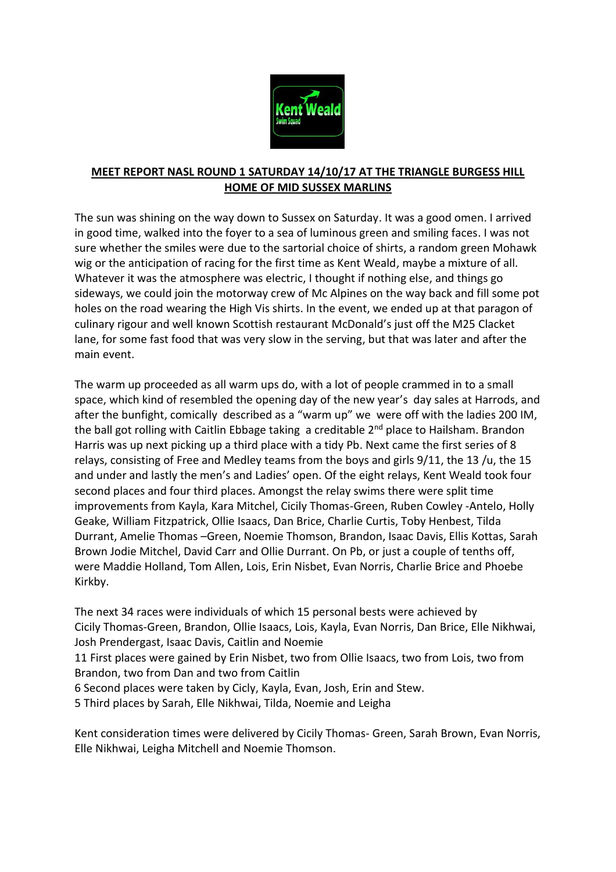

## **MEET REPORT NASL ROUND 1 SATURDAY 14/10/17 AT THE TRIANGLE BURGESS HILL HOME OF MID SUSSEX MARLINS**

The sun was shining on the way down to Sussex on Saturday. It was a good omen. I arrived in good time, walked into the foyer to a sea of luminous green and smiling faces. I was not sure whether the smiles were due to the sartorial choice of shirts, a random green Mohawk wig or the anticipation of racing for the first time as Kent Weald, maybe a mixture of all. Whatever it was the atmosphere was electric, I thought if nothing else, and things go sideways, we could join the motorway crew of Mc Alpines on the way back and fill some pot holes on the road wearing the High Vis shirts. In the event, we ended up at that paragon of culinary rigour and well known Scottish restaurant McDonald's just off the M25 Clacket lane, for some fast food that was very slow in the serving, but that was later and after the main event.

The warm up proceeded as all warm ups do, with a lot of people crammed in to a small space, which kind of resembled the opening day of the new year's day sales at Harrods, and after the bunfight, comically described as a "warm up" we were off with the ladies 200 IM, the ball got rolling with Caitlin Ebbage taking a creditable 2<sup>nd</sup> place to Hailsham. Brandon Harris was up next picking up a third place with a tidy Pb. Next came the first series of 8 relays, consisting of Free and Medley teams from the boys and girls 9/11, the 13 /u, the 15 and under and lastly the men's and Ladies' open. Of the eight relays, Kent Weald took four second places and four third places. Amongst the relay swims there were split time improvements from Kayla, Kara Mitchel, Cicily Thomas-Green, Ruben Cowley -Antelo, Holly Geake, William Fitzpatrick, Ollie Isaacs, Dan Brice, Charlie Curtis, Toby Henbest, Tilda Durrant, Amelie Thomas –Green, Noemie Thomson, Brandon, Isaac Davis, Ellis Kottas, Sarah Brown Jodie Mitchel, David Carr and Ollie Durrant. On Pb, or just a couple of tenths off, were Maddie Holland, Tom Allen, Lois, Erin Nisbet, Evan Norris, Charlie Brice and Phoebe Kirkby.

The next 34 races were individuals of which 15 personal bests were achieved by Cicily Thomas-Green, Brandon, Ollie Isaacs, Lois, Kayla, Evan Norris, Dan Brice, Elle Nikhwai, Josh Prendergast, Isaac Davis, Caitlin and Noemie 11 First places were gained by Erin Nisbet, two from Ollie Isaacs, two from Lois, two from Brandon, two from Dan and two from Caitlin 6 Second places were taken by Cicly, Kayla, Evan, Josh, Erin and Stew. 5 Third places by Sarah, Elle Nikhwai, Tilda, Noemie and Leigha

Kent consideration times were delivered by Cicily Thomas- Green, Sarah Brown, Evan Norris, Elle Nikhwai, Leigha Mitchell and Noemie Thomson.